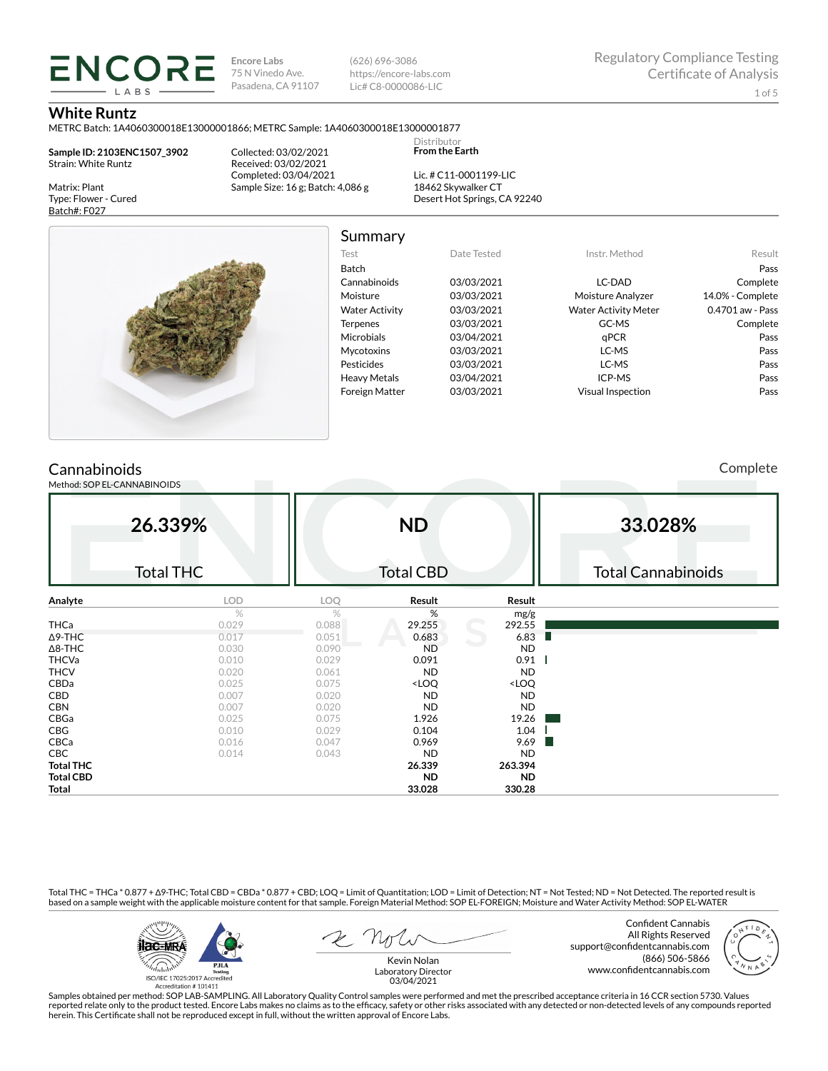**Encore Labs** 75 N Vinedo Ave. Pasadena, CA 91107 (626) 696-3086 https://encore-labs.com Lic# C8-0000086-LIC

Summary

Distributor **From the Earth**

#### **White Runtz**

Matrix: Plant Type: Flower - Cured Batch#: F027

METRC Batch: 1A4060300018E13000001866; METRC Sample: 1A4060300018E13000001877

**Sample ID: 2103ENC1507\_3902** Strain: White Runtz

**ENCORE IARS** 

> Collected: 03/02/2021 Received: 03/02/2021 Completed: 03/04/2021 Sample Size: 16 g; Batch: 4,086 g

Lic. # C11-0001199-LIC 18462 Skywalker CT Desert Hot Springs, CA 92240



| Test                  | Date Tested | Instr. Method               | Result           |
|-----------------------|-------------|-----------------------------|------------------|
| <b>Batch</b>          |             |                             | Pass             |
| Cannabinoids          | 03/03/2021  | LC-DAD                      | Complete         |
| Moisture              | 03/03/2021  | Moisture Analyzer           | 14.0% - Complete |
| <b>Water Activity</b> | 03/03/2021  | <b>Water Activity Meter</b> | 0.4701 aw - Pass |
| <b>Terpenes</b>       | 03/03/2021  | GC-MS                       | Complete         |
| <b>Microbials</b>     | 03/04/2021  | qPCR                        | Pass             |
| <b>Mycotoxins</b>     | 03/03/2021  | LC-MS                       | Pass             |
| Pesticides            | 03/03/2021  | LC-MS                       | Pass             |
| <b>Heavy Metals</b>   | 03/04/2021  | ICP-MS                      | Pass             |
| <b>Foreign Matter</b> | 03/03/2021  | <b>Visual Inspection</b>    | Pass             |
|                       |             |                             |                  |

## **Cannabinoids**

Method: SOP EL-CANNABINOIDS

Complete

| 26.339%<br><b>Total THC</b> |       | <b>ND</b><br><b>Total CBD</b> |                                                          |                              | 33.028%<br><b>Total Cannabinoids</b> |
|-----------------------------|-------|-------------------------------|----------------------------------------------------------|------------------------------|--------------------------------------|
| Analyte                     | LOD   | <b>LOQ</b>                    | Result                                                   | Result                       |                                      |
|                             | $\%$  | %                             | %                                                        | mg/g                         |                                      |
| THCa                        | 0.029 | 0.088                         | 29.255                                                   | 292.55                       |                                      |
| $\Delta$ 9-THC              | 0.017 | 0.051                         | 0.683                                                    | 6.83                         |                                      |
| $\Delta$ 8-THC              | 0.030 | 0.090                         | <b>ND</b>                                                | <b>ND</b>                    |                                      |
| <b>THCVa</b>                | 0.010 | 0.029                         | 0.091                                                    | 0.91                         |                                      |
| <b>THCV</b>                 | 0.020 | 0.061                         | <b>ND</b>                                                | <b>ND</b>                    |                                      |
| CBDa                        | 0.025 | 0.075                         | <loq< td=""><td><loq< td=""><td></td></loq<></td></loq<> | <loq< td=""><td></td></loq<> |                                      |
| CBD                         | 0.007 | 0.020                         | <b>ND</b>                                                | <b>ND</b>                    |                                      |
| <b>CBN</b>                  | 0.007 | 0.020                         | <b>ND</b>                                                | <b>ND</b>                    |                                      |
| CBGa                        | 0.025 | 0.075                         | 1.926                                                    | 19.26                        |                                      |
| CBG                         | 0.010 | 0.029                         | 0.104                                                    | 1.04                         |                                      |
| CBCa                        | 0.016 | 0.047                         | 0.969                                                    | 9.69                         |                                      |
| CBC                         | 0.014 | 0.043                         | <b>ND</b>                                                | <b>ND</b>                    |                                      |
| <b>Total THC</b>            |       |                               | 26.339                                                   | 263.394                      |                                      |
| <b>Total CBD</b>            |       |                               | <b>ND</b>                                                | <b>ND</b>                    |                                      |
| Total                       |       |                               | 33.028                                                   | 330.28                       |                                      |

Total THC = THCa \* 0.877 + ∆9-THC; Total CBD = CBDa \* 0.877 + CBD; LOQ = Limit of Quantitation; LOD = Limit of Detection; NT = Not Tested; ND = Not Detected. The reported result is based on a sample weight with the applicable moisture content for that sample. Foreign Material Method: SOP EL-FOREIGN; Moisture and Water Activity Method: SOP EL-WATER



Confident Cannabis All Rights Reserved support@confidentcannabis.com (866) 506-5866 www.confidentcannabis.com



Kevin Nolan Laboratory Director 03/04/2021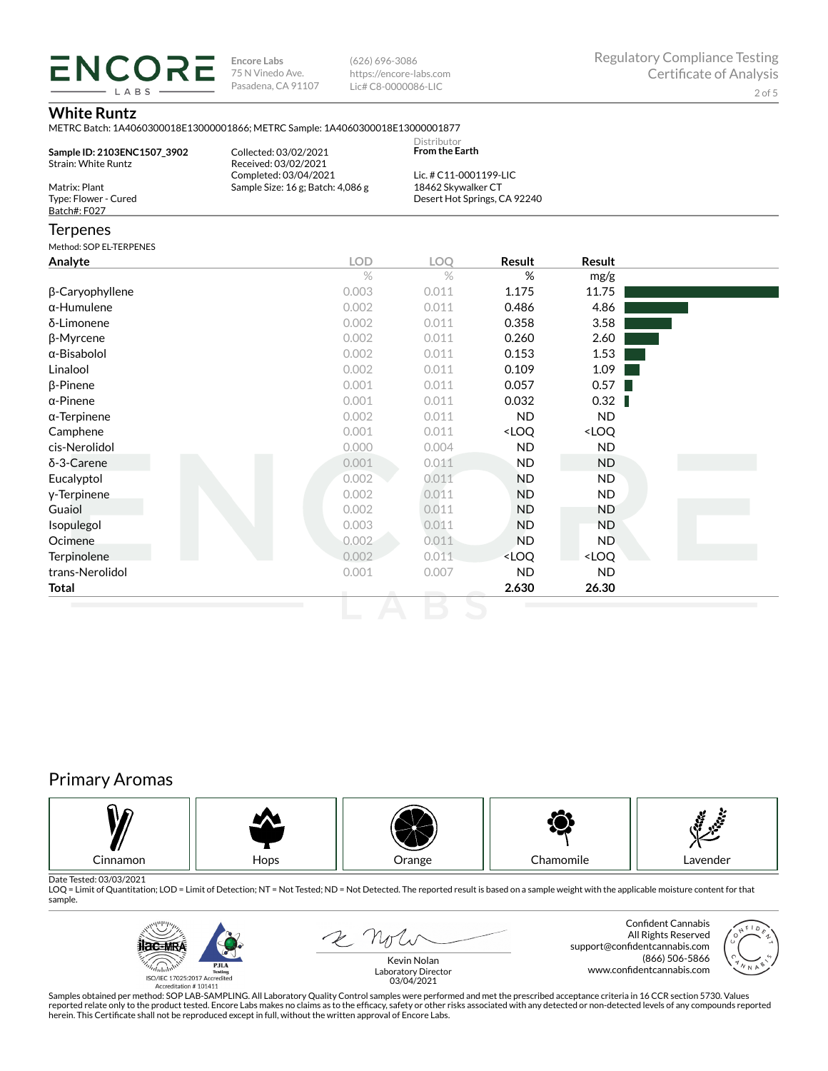**ENCORE Encore Labs** 75 N Vinedo Ave. Pasadena, CA 91107

(626) 696-3086 https://encore-labs.com Lic# C8-0000086-LIC

## **White Runtz**

LABS

|                                                       | METRC Batch: 1A4060300018E13000001866; METRC Sample: 1A4060300018E13000001877 |                                              |                                                          |                              |  |
|-------------------------------------------------------|-------------------------------------------------------------------------------|----------------------------------------------|----------------------------------------------------------|------------------------------|--|
| Sample ID: 2103ENC1507_3902<br>Strain: White Runtz    | Collected: 03/02/2021<br>Received: 03/02/2021                                 | Distributor<br><b>From the Earth</b>         |                                                          |                              |  |
| Matrix: Plant<br>Type: Flower - Cured<br>Batch#: F027 | Completed: 03/04/2021<br>Sample Size: 16 g; Batch: 4,086 g                    | Lic. # C11-0001199-LIC<br>18462 Skywalker CT | Desert Hot Springs, CA 92240                             |                              |  |
| Terpenes                                              |                                                                               |                                              |                                                          |                              |  |
| Method: SOP EL-TERPENES                               |                                                                               |                                              |                                                          |                              |  |
| Analyte                                               | <b>LOD</b>                                                                    | <b>LOO</b>                                   | Result                                                   | Result                       |  |
|                                                       | $\%$                                                                          | $\frac{0}{2}$                                | %                                                        | mg/g                         |  |
| β-Caryophyllene                                       | 0.003                                                                         | 0.011                                        | 1.175                                                    | 11.75                        |  |
| α-Humulene                                            | 0.002                                                                         | 0.011                                        | 0.486                                                    | 4.86                         |  |
| δ-Limonene                                            | 0.002                                                                         | 0.011                                        | 0.358                                                    | 3.58                         |  |
| β-Myrcene                                             | 0.002                                                                         | 0.011                                        | 0.260                                                    | 2.60                         |  |
| α-Bisabolol                                           | 0.002                                                                         | 0.011                                        | 0.153                                                    | 1.53                         |  |
| Linalool                                              | 0.002                                                                         | 0.011                                        | 0.109                                                    | 1.09                         |  |
| β-Pinene                                              | 0.001                                                                         | 0.011                                        | 0.057                                                    | 0.57                         |  |
| α-Pinene                                              | 0.001                                                                         | 0.011                                        | 0.032                                                    | 0.32                         |  |
| α-Terpinene                                           | 0.002                                                                         | 0.011                                        | <b>ND</b>                                                | <b>ND</b>                    |  |
| Camphene                                              | 0.001                                                                         | 0.011                                        | <loq< td=""><td><loq< td=""><td></td></loq<></td></loq<> | <loq< td=""><td></td></loq<> |  |
| cis-Nerolidol                                         | 0.000                                                                         | 0.004                                        | <b>ND</b>                                                | <b>ND</b>                    |  |
| $δ-3$ -Carene                                         | 0.001                                                                         | 0.011                                        | <b>ND</b>                                                | <b>ND</b>                    |  |
| Eucalyptol                                            | 0.002                                                                         | 0.011                                        | <b>ND</b>                                                | <b>ND</b>                    |  |
| y-Terpinene                                           | 0.002                                                                         | 0.011                                        | <b>ND</b>                                                | <b>ND</b>                    |  |
| Guaiol                                                | 0.002                                                                         | 0.011                                        | <b>ND</b>                                                | <b>ND</b>                    |  |
| Isopulegol                                            | 0.003                                                                         | 0.011                                        | <b>ND</b>                                                | <b>ND</b>                    |  |
| Ocimene                                               | 0.002                                                                         | 0.011                                        | <b>ND</b>                                                | <b>ND</b>                    |  |
| <b>Terpinolene</b>                                    | 0.002                                                                         | 0.011                                        | <loq< td=""><td><loq< td=""><td></td></loq<></td></loq<> | <loq< td=""><td></td></loq<> |  |
| trans-Nerolidol                                       | 0.001                                                                         | 0.007                                        | <b>ND</b>                                                | <b>ND</b>                    |  |

**Total 2.630 26.30**

# Primary Aromas



Date Tested: 03/03/2021<br>LOQ = Limit of Quantitation; LOD = Limit of Detection; NT = Not Tested; ND = Not Detected. The reported result is based on a sample weight with the applicable moisture content for that sample.



2 not

Confident Cannabis All Rights Reserved support@confidentcannabis.com (866) 506-5866 www.confidentcannabis.com

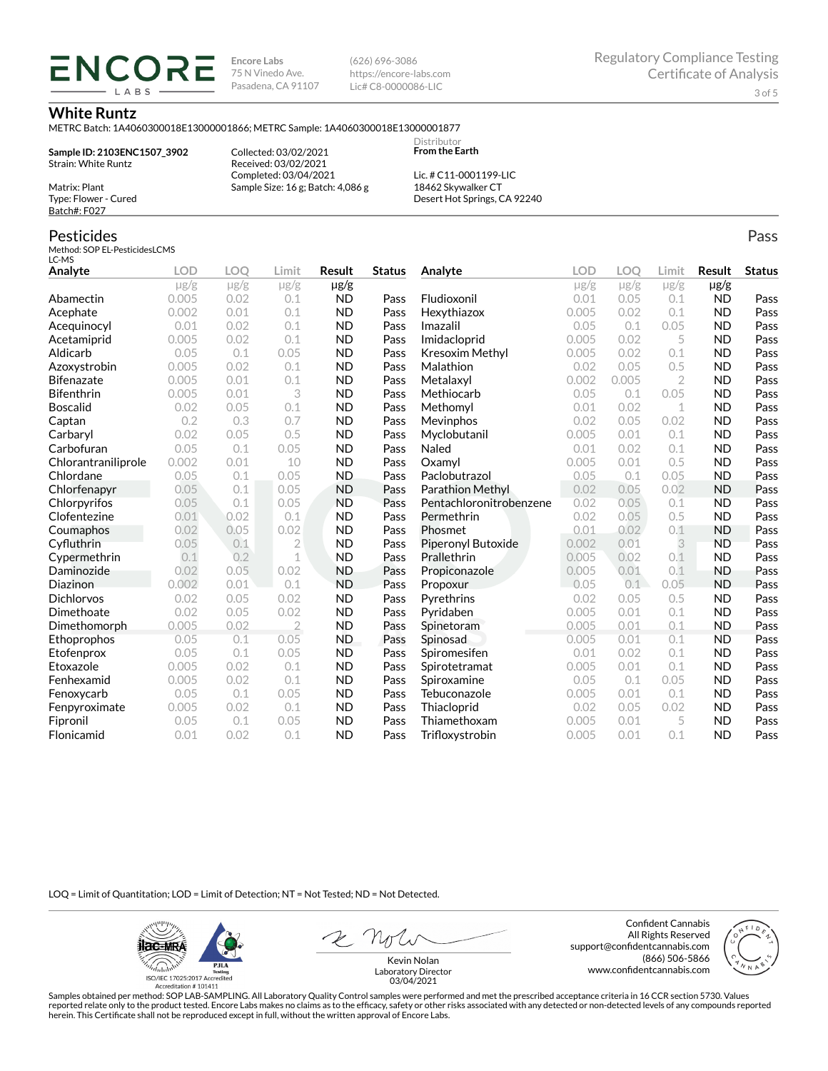**Encore Labs** 75 N Vinedo Ave. Pasadena, CA 91107 (626) 696-3086 https://encore-labs.com Lic# C8-0000086-LIC

> Distributor **From the Earth**

#### **White Runtz**

METRC Batch: 1A4060300018E13000001866; METRC Sample: 1A4060300018E13000001877

**Sample ID: 2103ENC1507\_3902** Strain: White Runtz

**ENCOR** LABS

> Collected: 03/02/2021 Received: 03/02/2021 Completed: 03/04/2021 Sample Size: 16 g; Batch: 4,086 g

Lic. # C11-0001199-LIC 18462 Skywalker CT Desert Hot Springs, CA 92240

## Pesticides

Matrix: Plant Type: Flower - Cured Batch#: F027

Method: SOP EL-PesticidesLCMS LC-MS

| Analyte             | <b>LOD</b> | <b>LOO</b> | Limit          | Result    | <b>Status</b> | Analyte                 | LOD       | LOO       | Limit          | Result    | <b>Status</b> |
|---------------------|------------|------------|----------------|-----------|---------------|-------------------------|-----------|-----------|----------------|-----------|---------------|
|                     | $\mu$ g/g  | $\mu$ g/g  | $\mu$ g/g      | µg/g      |               |                         | $\mu$ g/g | $\mu$ g/g | $\mu$ g/g      | $\mu$ g/g |               |
| Abamectin           | 0.005      | 0.02       | 0.1            | <b>ND</b> | Pass          | Fludioxonil             | 0.01      | 0.05      | 0.1            | <b>ND</b> | Pass          |
| Acephate            | 0.002      | 0.01       | 0.1            | <b>ND</b> | Pass          | Hexythiazox             | 0.005     | 0.02      | 0.1            | <b>ND</b> | Pass          |
| Acequinocyl         | 0.01       | 0.02       | 0.1            | <b>ND</b> | Pass          | Imazalil                | 0.05      | 0.1       | 0.05           | <b>ND</b> | Pass          |
| Acetamiprid         | 0.005      | 0.02       | 0.1            | <b>ND</b> | Pass          | Imidacloprid            | 0.005     | 0.02      | 5              | <b>ND</b> | Pass          |
| Aldicarb            | 0.05       | 0.1        | 0.05           | <b>ND</b> | Pass          | Kresoxim Methyl         | 0.005     | 0.02      | 0.1            | <b>ND</b> | Pass          |
| Azoxystrobin        | 0.005      | 0.02       | 0.1            | <b>ND</b> | Pass          | Malathion               | 0.02      | 0.05      | 0.5            | <b>ND</b> | Pass          |
| <b>Bifenazate</b>   | 0.005      | 0.01       | 0.1            | <b>ND</b> | Pass          | Metalaxyl               | 0.002     | 0.005     | $\overline{2}$ | <b>ND</b> | Pass          |
| <b>Bifenthrin</b>   | 0.005      | 0.01       | 3              | <b>ND</b> | Pass          | Methiocarb              | 0.05      | 0.1       | 0.05           | <b>ND</b> | Pass          |
| <b>Boscalid</b>     | 0.02       | 0.05       | 0.1            | <b>ND</b> | Pass          | Methomyl                | 0.01      | 0.02      | 1              | <b>ND</b> | Pass          |
| Captan              | 0.2        | 0.3        | 0.7            | <b>ND</b> | Pass          | Mevinphos               | 0.02      | 0.05      | 0.02           | <b>ND</b> | Pass          |
| Carbaryl            | 0.02       | 0.05       | 0.5            | <b>ND</b> | Pass          | Myclobutanil            | 0.005     | 0.01      | 0.1            | <b>ND</b> | Pass          |
| Carbofuran          | 0.05       | 0.1        | 0.05           | <b>ND</b> | Pass          | Naled                   | 0.01      | 0.02      | 0.1            | <b>ND</b> | Pass          |
| Chlorantraniliprole | 0.002      | 0.01       | 10             | <b>ND</b> | Pass          | Oxamvl                  | 0.005     | 0.01      | 0.5            | <b>ND</b> | Pass          |
| Chlordane           | 0.05       | 0.1        | 0.05           | <b>ND</b> | Pass          | Paclobutrazol           | 0.05      | 0.1       | 0.05           | <b>ND</b> | Pass          |
| Chlorfenapyr        | 0.05       | 0.1        | 0.05           | <b>ND</b> | Pass          | <b>Parathion Methyl</b> | 0.02      | 0.05      | 0.02           | <b>ND</b> | Pass          |
| Chlorpyrifos        | 0.05       | 0.1        | 0.05           | <b>ND</b> | Pass          | Pentachloronitrobenzene | 0.02      | 0.05      | 0.1            | <b>ND</b> | Pass          |
| Clofentezine        | 0.01       | 0.02       | 0.1            | <b>ND</b> | Pass          | Permethrin              | 0.02      | 0.05      | 0.5            | <b>ND</b> | Pass          |
| Coumaphos           | 0.02       | 0.05       | 0.02           | <b>ND</b> | Pass          | Phosmet                 | 0.01      | 0.02      | 0.1            | <b>ND</b> | Pass          |
| Cyfluthrin          | 0.05       | 0.1        | $\overline{2}$ | <b>ND</b> | Pass          | Piperonyl Butoxide      | 0.002     | 0.01      | 3              | <b>ND</b> | Pass          |
| Cypermethrin        | 0.1        | 0.2        | $\mathbf{1}$   | <b>ND</b> | Pass          | Prallethrin             | 0.005     | 0.02      | 0.1            | <b>ND</b> | Pass          |
| Daminozide          | 0.02       | 0.05       | 0.02           | <b>ND</b> | Pass          | Propiconazole           | 0.005     | 0.01      | 0.1            | <b>ND</b> | Pass          |
| Diazinon            | 0.002      | 0.01       | 0.1            | <b>ND</b> | Pass          | Propoxur                | 0.05      | 0.1       | 0.05           | <b>ND</b> | Pass          |
| <b>Dichlorvos</b>   | 0.02       | 0.05       | 0.02           | <b>ND</b> | Pass          | Pyrethrins              | 0.02      | 0.05      | 0.5            | <b>ND</b> | Pass          |
| Dimethoate          | 0.02       | 0.05       | 0.02           | <b>ND</b> | Pass          | Pyridaben               | 0.005     | 0.01      | 0.1            | <b>ND</b> | Pass          |
| Dimethomorph        | 0.005      | 0.02       | $\overline{2}$ | <b>ND</b> | Pass          | Spinetoram              | 0.005     | 0.01      | 0.1            | <b>ND</b> | Pass          |
| Ethoprophos         | 0.05       | 0.1        | 0.05           | <b>ND</b> | Pass          | Spinosad                | 0.005     | 0.01      | 0.1            | <b>ND</b> | Pass          |
| Etofenprox          | 0.05       | 0.1        | 0.05           | <b>ND</b> | Pass          | Spiromesifen            | 0.01      | 0.02      | 0.1            | <b>ND</b> | Pass          |
| Etoxazole           | 0.005      | 0.02       | 0.1            | <b>ND</b> | Pass          | Spirotetramat           | 0.005     | 0.01      | 0.1            | <b>ND</b> | Pass          |
| Fenhexamid          | 0.005      | 0.02       | 0.1            | <b>ND</b> | Pass          | Spiroxamine             | 0.05      | 0.1       | 0.05           | <b>ND</b> | Pass          |
| Fenoxycarb          | 0.05       | 0.1        | 0.05           | <b>ND</b> | Pass          | Tebuconazole            | 0.005     | 0.01      | 0.1            | <b>ND</b> | Pass          |
| Fenpyroximate       | 0.005      | 0.02       | 0.1            | <b>ND</b> | Pass          | Thiacloprid             | 0.02      | 0.05      | 0.02           | <b>ND</b> | Pass          |
| Fipronil            | 0.05       | 0.1        | 0.05           | <b>ND</b> | Pass          | Thiamethoxam            | 0.005     | 0.01      | 5              | <b>ND</b> | Pass          |
| Flonicamid          | 0.01       | 0.02       | 0.1            | <b>ND</b> | Pass          | Trifloxystrobin         | 0.005     | 0.01      | 0.1            | <b>ND</b> | Pass          |

LOQ = Limit of Quantitation; LOD = Limit of Detection; NT = Not Tested; ND = Not Detected.

**ilac-MRA PJLA**  $d_{\rm thbb}$ ISO/IEC 17025:2017 Ac

Accreditation #101411

Confident Cannabis All Rights Reserved support@confidentcannabis.com (866) 506-5866 www.confidentcannabis.com



Kevin Nolan Laboratory Director 03/04/2021

Samples obtained per method: SOP LAB-SAMPLING. All Laboratory Quality Control samples were performed and met the prescribed acceptance criteria in 16 CCR section 5730. Values reported relate only to the product tested. Encore Labs makes no claims as to the efficacy, safety or other risks associated with any detected or non-detected levels of any compounds reported<br>herein. This Certificate shall

Pass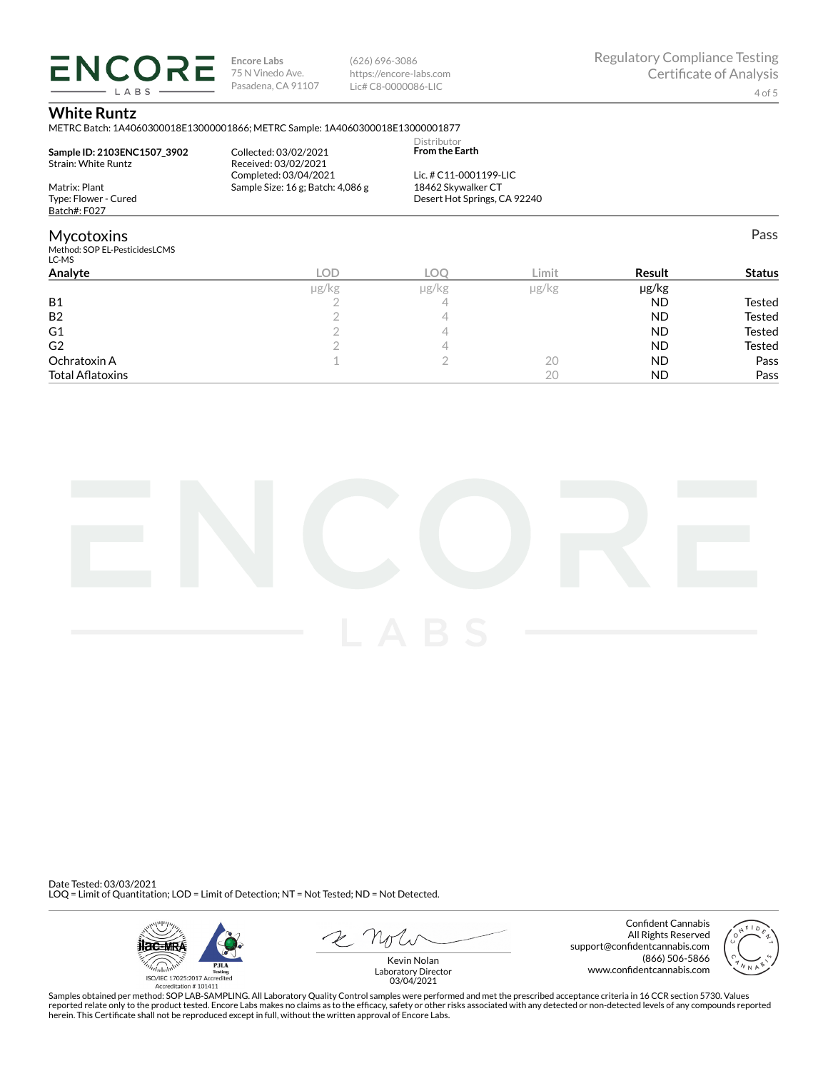**ENCORE Encore Labs** 75 N Vinedo Ave. Pasadena, CA 91107 LABS

(626) 696-3086 https://encore-labs.com Lic# C8-0000086-LIC

Pass

### **White Runtz**

METRC Batch: 1A4060300018E13000001866; METRC Sample: 1A4060300018E13000001877

|                               |                                   | Distributor                  |  |
|-------------------------------|-----------------------------------|------------------------------|--|
| Sample ID: 2103ENC1507 3902   | Collected: 03/02/2021             | <b>From the Earth</b>        |  |
| Strain: White Runtz           | Received: 03/02/2021              |                              |  |
|                               | Completed: 03/04/2021             | Lic. # C11-0001199-LIC       |  |
| Matrix: Plant                 | Sample Size: 16 g; Batch: 4,086 g | 18462 Skywalker CT           |  |
| Type: Flower - Cured          |                                   | Desert Hot Springs, CA 92240 |  |
| Batch#: F027                  |                                   |                              |  |
| <b>Mycotoxins</b>             |                                   |                              |  |
| Method: SOP EL-PesticidesLCMS |                                   |                              |  |
| LC-MS                         |                                   |                              |  |

| LC-MD                   |       |            |            |           |               |
|-------------------------|-------|------------|------------|-----------|---------------|
| Analyte                 | LOD   | <b>LOC</b> | Limit      | Result    | <b>Status</b> |
|                         | µg/kg | µg/kg      | $\mu$ g/kg | µg/kg     |               |
| <b>B1</b>               |       |            |            | <b>ND</b> | Tested        |
| <b>B2</b>               |       |            |            | <b>ND</b> | <b>Tested</b> |
| G <sub>1</sub>          |       |            |            | <b>ND</b> | <b>Tested</b> |
| G <sub>2</sub>          |       |            |            | <b>ND</b> | <b>Tested</b> |
| Ochratoxin A            |       |            | 20         | ND.       | Pass          |
| <b>Total Aflatoxins</b> |       |            | 20         | <b>ND</b> | Pass          |



Date Tested: 03/03/2021 LOQ = Limit of Quantitation; LOD = Limit of Detection; NT = Not Tested; ND = Not Detected.



Confident Cannabis All Rights Reserved support@confidentcannabis.com (866) 506-5866 www.confidentcannabis.com



Kevin Nolan Laboratory Director 03/04/2021